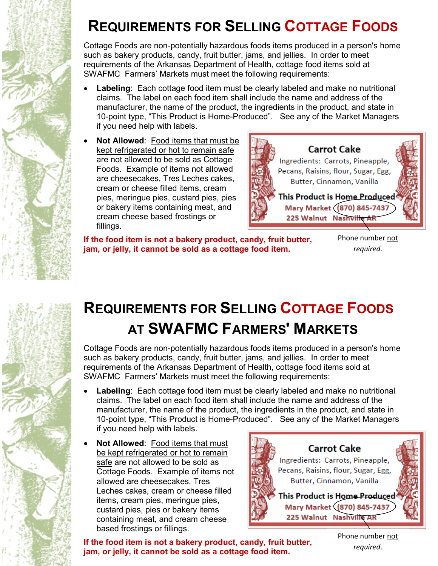## **REQUIREMENTS FOR SELLING COTTAGE FOODS**

Cottage Foods are non-potentially hazardous foods items produced in a person's home such as bakery products, candy, fruit butter, jams, and jellies. In order to meet requirements of the Arkansas Department of Health, cottage food items sold at SWAFMC Farmers' Markets must meet the following requirements:

- **Labeling**: Each cottage food item must be clearly labeled and make no nutritional claims. The label on each food item shall include the name and address of the manufacturer, the name of the product, the ingredients in the product, and state in 10-point type, "This Product is Home-Produced". See any of the Market Managers if you need help with labels.
- **Not Allowed**: Food items that must be kept refrigerated or hot to remain safe are not allowed to be sold as Cottage Foods. Example of items not allowed are cheesecakes, Tres Leches cakes, cream or cheese filled items, cream pies, meringue pies, custard pies, pies or bakery items containing meat, and cream cheese based frostings or fillings.

**Carrot Cake** Ingredients: Carrots, Pineapple, Pecans, Raisins, flour, Sugar, Egg, Butter, Cinnamon, Vanilla This Product is Home Produced Mary Market (870) 845-7437 225 Walnut Nashville AR

**If the food item is not a bakery product, candy, fruit butter, jam, or jelly, it cannot be sold as a cottage food item.**

Phone number not *required*.



## **REQUIREMENTS FOR SELLING COTTAGE FOODS AT SWAFMC FARMERS' MARKETS**

Cottage Foods are non-potentially hazardous foods items produced in a person's home such as bakery products, candy, fruit butter, jams, and jellies. In order to meet requirements of the Arkansas Department of Health, cottage food items sold at SWAFMC Farmers' Markets must meet the following requirements:

- **Labeling**: Each cottage food item must be clearly labeled and make no nutritional claims. The label on each food item shall include the name and address of the manufacturer, the name of the product, the ingredients in the product, and state in 10-point type, "This Product is Home-Produced". See any of the Market Managers if you need help with labels.
- **Not Allowed**: Food items that must be kept refrigerated or hot to remain safe are not allowed to be sold as Cottage Foods. Example of items not allowed are cheesecakes, Tres Leches cakes, cream or cheese filled items, cream pies, meringue pies, custard pies, pies or bakery items containing meat, and cream cheese based frostings or fillings.



**If the food item is not a bakery product, candy, fruit butter, jam, or jelly, it cannot be sold as a cottage food item.**

Phone number not *required*.